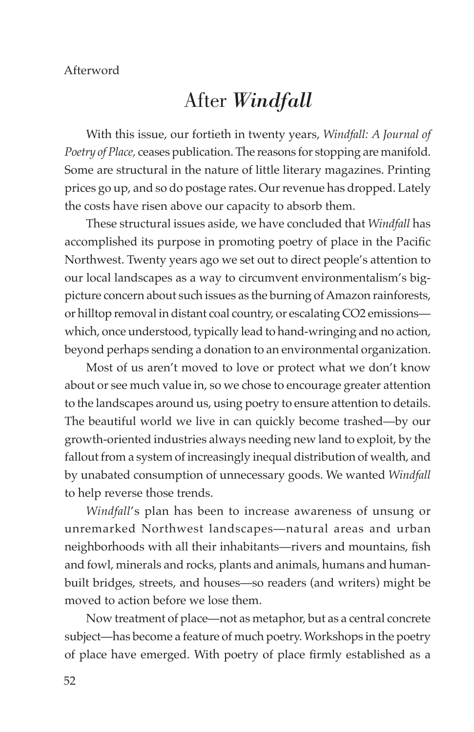## After *Windfall*

With this issue, our fortieth in twenty years, *Windfall: A Journal of Poetry of Place,* ceases publication. The reasons for stopping are manifold. Some are structural in the nature of little literary magazines. Printing prices go up, and so do postage rates. Our revenue has dropped. Lately the costs have risen above our capacity to absorb them.

These structural issues aside, we have concluded that *Windfall* has accomplished its purpose in promoting poetry of place in the Pacific Northwest. Twenty years ago we set out to direct people's attention to our local landscapes as a way to circumvent environmentalism's bigpicture concern about such issues as the burning of Amazon rainforests, or hilltop removal in distant coal country, or escalating CO2 emissions which, once understood, typically lead to hand-wringing and no action, beyond perhaps sending a donation to an environmental organization.

Most of us aren't moved to love or protect what we don't know about or see much value in, so we chose to encourage greater attention to the landscapes around us, using poetry to ensure attention to details. The beautiful world we live in can quickly become trashed—by our growth-oriented industries always needing new land to exploit, by the fallout from a system of increasingly inequal distribution of wealth, and by unabated consumption of unnecessary goods. We wanted *Windfall* to help reverse those trends.

*Windfall*'s plan has been to increase awareness of unsung or unremarked Northwest landscapes—natural areas and urban neighborhoods with all their inhabitants—rivers and mountains, fish and fowl, minerals and rocks, plants and animals, humans and humanbuilt bridges, streets, and houses—so readers (and writers) might be moved to action before we lose them.

Now treatment of place—not as metaphor, but as a central concrete subject—has become a feature of much poetry. Workshops in the poetry of place have emerged. With poetry of place firmly established as a